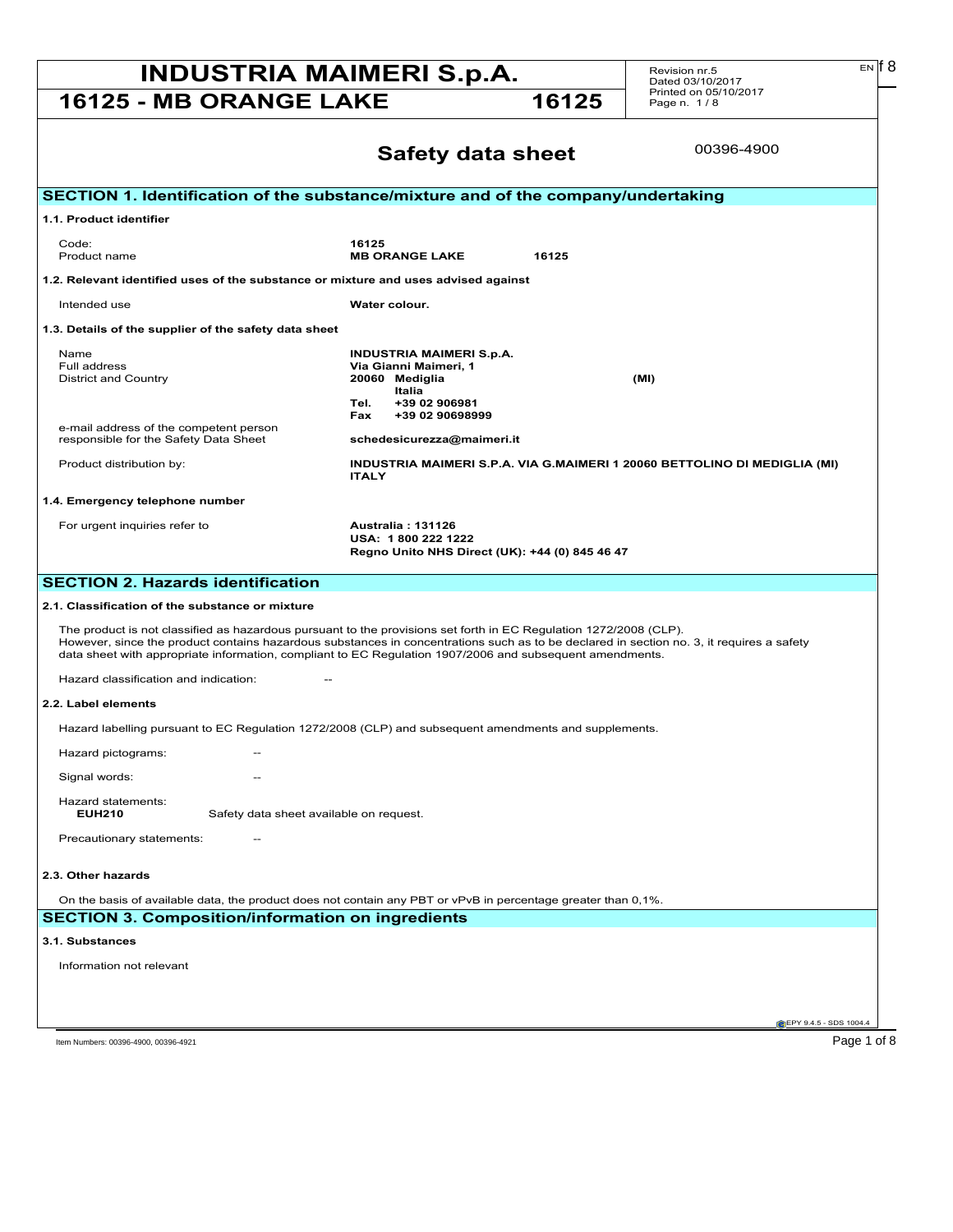## **INDUSTRIA MAIMERI S.p.A.** Revision nr.5 **EN I** EN **I** 8

**16125 - MB ORANGE LAKE 16125** 

Revision nr.5 Dated 03/10/2017 Printed on 05/10/2017 Page n. 1 / 8

|                                                                                               | 00396-4900<br><b>Safety data sheet</b>                                                                                                                                                                                                                                                                                                                                    |  |
|-----------------------------------------------------------------------------------------------|---------------------------------------------------------------------------------------------------------------------------------------------------------------------------------------------------------------------------------------------------------------------------------------------------------------------------------------------------------------------------|--|
|                                                                                               | SECTION 1. Identification of the substance/mixture and of the company/undertaking                                                                                                                                                                                                                                                                                         |  |
| 1.1. Product identifier                                                                       |                                                                                                                                                                                                                                                                                                                                                                           |  |
| Code:<br>Product name                                                                         | 16125<br><b>MB ORANGE LAKE</b><br>16125                                                                                                                                                                                                                                                                                                                                   |  |
| 1.2. Relevant identified uses of the substance or mixture and uses advised against            |                                                                                                                                                                                                                                                                                                                                                                           |  |
| Intended use                                                                                  | Water colour.                                                                                                                                                                                                                                                                                                                                                             |  |
| 1.3. Details of the supplier of the safety data sheet                                         |                                                                                                                                                                                                                                                                                                                                                                           |  |
| Name<br>Full address<br><b>District and Country</b><br>e-mail address of the competent person | <b>INDUSTRIA MAIMERI S.p.A.</b><br>Via Gianni Maimeri, 1<br>20060 Mediglia<br>(MI)<br>Italia<br>Tel.<br>+39 02 906981<br>+39 02 90698999<br>Fax                                                                                                                                                                                                                           |  |
| responsible for the Safety Data Sheet<br>Product distribution by:                             | schedesicurezza@maimeri.it<br>INDUSTRIA MAIMERI S.P.A. VIA G.MAIMERI 1 20060 BETTOLINO DI MEDIGLIA (MI)<br><b>ITALY</b>                                                                                                                                                                                                                                                   |  |
| 1.4. Emergency telephone number                                                               |                                                                                                                                                                                                                                                                                                                                                                           |  |
| For urgent inquiries refer to                                                                 | Australia: 131126<br>USA: 1800 222 1222<br>Regno Unito NHS Direct (UK): +44 (0) 845 46 47                                                                                                                                                                                                                                                                                 |  |
| <b>SECTION 2. Hazards identification</b>                                                      |                                                                                                                                                                                                                                                                                                                                                                           |  |
| 2.1. Classification of the substance or mixture                                               |                                                                                                                                                                                                                                                                                                                                                                           |  |
|                                                                                               | The product is not classified as hazardous pursuant to the provisions set forth in EC Regulation 1272/2008 (CLP).<br>However, since the product contains hazardous substances in concentrations such as to be declared in section no. 3, it requires a safety<br>data sheet with appropriate information, compliant to EC Regulation 1907/2006 and subsequent amendments. |  |
| Hazard classification and indication:                                                         |                                                                                                                                                                                                                                                                                                                                                                           |  |
| 2.2. Label elements                                                                           |                                                                                                                                                                                                                                                                                                                                                                           |  |
|                                                                                               | Hazard labelling pursuant to EC Regulation 1272/2008 (CLP) and subsequent amendments and supplements.                                                                                                                                                                                                                                                                     |  |
| Hazard pictograms:                                                                            |                                                                                                                                                                                                                                                                                                                                                                           |  |
| Signal words:                                                                                 |                                                                                                                                                                                                                                                                                                                                                                           |  |
| Hazard statements:<br><b>EUH210</b><br>Safety data sheet available on request.                |                                                                                                                                                                                                                                                                                                                                                                           |  |
| Precautionary statements:                                                                     |                                                                                                                                                                                                                                                                                                                                                                           |  |
| 2.3. Other hazards                                                                            |                                                                                                                                                                                                                                                                                                                                                                           |  |
|                                                                                               | On the basis of available data, the product does not contain any PBT or vPvB in percentage greater than 0,1%.                                                                                                                                                                                                                                                             |  |
| <b>SECTION 3. Composition/information on ingredients</b>                                      |                                                                                                                                                                                                                                                                                                                                                                           |  |
| 3.1. Substances                                                                               |                                                                                                                                                                                                                                                                                                                                                                           |  |
| Information not relevant                                                                      |                                                                                                                                                                                                                                                                                                                                                                           |  |
|                                                                                               |                                                                                                                                                                                                                                                                                                                                                                           |  |
|                                                                                               | EPY 9.4.5 - SDS 1004.4                                                                                                                                                                                                                                                                                                                                                    |  |

Item Numbers: 00396-4900, 00396-4921 Page 1 of 8

 $E<sub>N</sub>$  6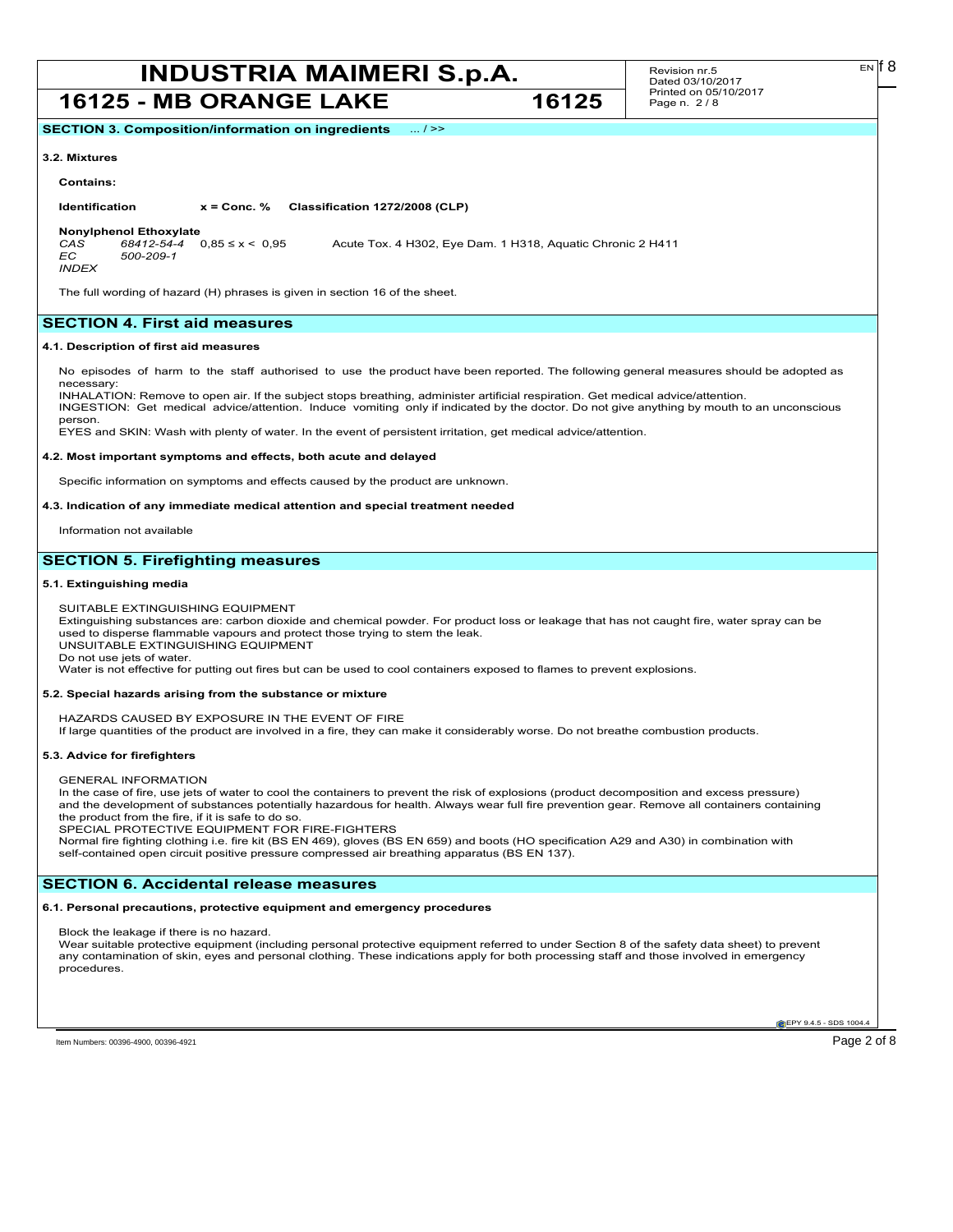## **INDUSTRIA MAIMERI S.p.A.** Revision nr.5 EN [8]

### **16125 - MB ORANGE LAKE 16125**

Revision nr.5 Dated 03/10/2017 Printed on 05/10/2017 Page n. 2 / 8

**SECTION 3. Composition/information on ingredients** ... / >>

#### **3.2. Mixtures**

#### **Contains:**

**Identification x = Conc. % Classification 1272/2008 (CLP)**

**Nonylphenol Ethoxylate**<br>CAS 68412-54-4 0.85 ≤ x < 0.95 *CAS 68412-54-4* 0,85 ≤ x < 0,95 Acute Tox. 4 H302, Eye Dam. 1 H318, Aquatic Chronic 2 H411 *EC 500-209-1*

*INDEX*

The full wording of hazard (H) phrases is given in section 16 of the sheet.

#### **SECTION 4. First aid measures**

#### **4.1. Description of first aid measures**

No episodes of harm to the staff authorised to use the product have been reported. The following general measures should be adopted as necessary

INHALATION: Remove to open air. If the subject stops breathing, administer artificial respiration. Get medical advice/attention. INGESTION: Get medical advice/attention. Induce vomiting only if indicated by the doctor. Do not give anything by mouth to an unconscious person.

EYES and SKIN: Wash with plenty of water. In the event of persistent irritation, get medical advice/attention.

#### **4.2. Most important symptoms and effects, both acute and delayed**

Specific information on symptoms and effects caused by the product are unknown.

#### **4.3. Indication of any immediate medical attention and special treatment needed**

Information not available

#### **SECTION 5. Firefighting measures**

#### **5.1. Extinguishing media**

SUITABLE EXTINGUISHING EQUIPMENT

Extinguishing substances are: carbon dioxide and chemical powder. For product loss or leakage that has not caught fire, water spray can be used to disperse flammable vapours and protect those trying to stem the leak. UNSUITABLE EXTINGUISHING EQUIPMENT

Do not use jets of water.

Water is not effective for putting out fires but can be used to cool containers exposed to flames to prevent explosions.

#### **5.2. Special hazards arising from the substance or mixture**

HAZARDS CAUSED BY EXPOSURE IN THE EVENT OF FIRE

If large quantities of the product are involved in a fire, they can make it considerably worse. Do not breathe combustion products.

#### **5.3. Advice for firefighters**

GENERAL INFORMATION

In the case of fire, use jets of water to cool the containers to prevent the risk of explosions (product decomposition and excess pressure) and the development of substances potentially hazardous for health. Always wear full fire prevention gear. Remove all containers containing the product from the fire, if it is safe to do so.

SPECIAL PROTECTIVE EQUIPMENT FOR FIRE-FIGHTERS

Normal fire fighting clothing i.e. fire kit (BS EN 469), gloves (BS EN 659) and boots (HO specification A29 and A30) in combination with self-contained open circuit positive pressure compressed air breathing apparatus (BS EN 137).

#### **SECTION 6. Accidental release measures**

#### **6.1. Personal precautions, protective equipment and emergency procedures**

Block the leakage if there is no hazard.

Wear suitable protective equipment (including personal protective equipment referred to under Section 8 of the safety data sheet) to prevent any contamination of skin, eyes and personal clothing. These indications apply for both processing staff and those involved in emergency procedures.

Item Numbers: 00396-4900, 00396-4921 Page 2 of 8

**EPY 9.4.5 - SDS 1004**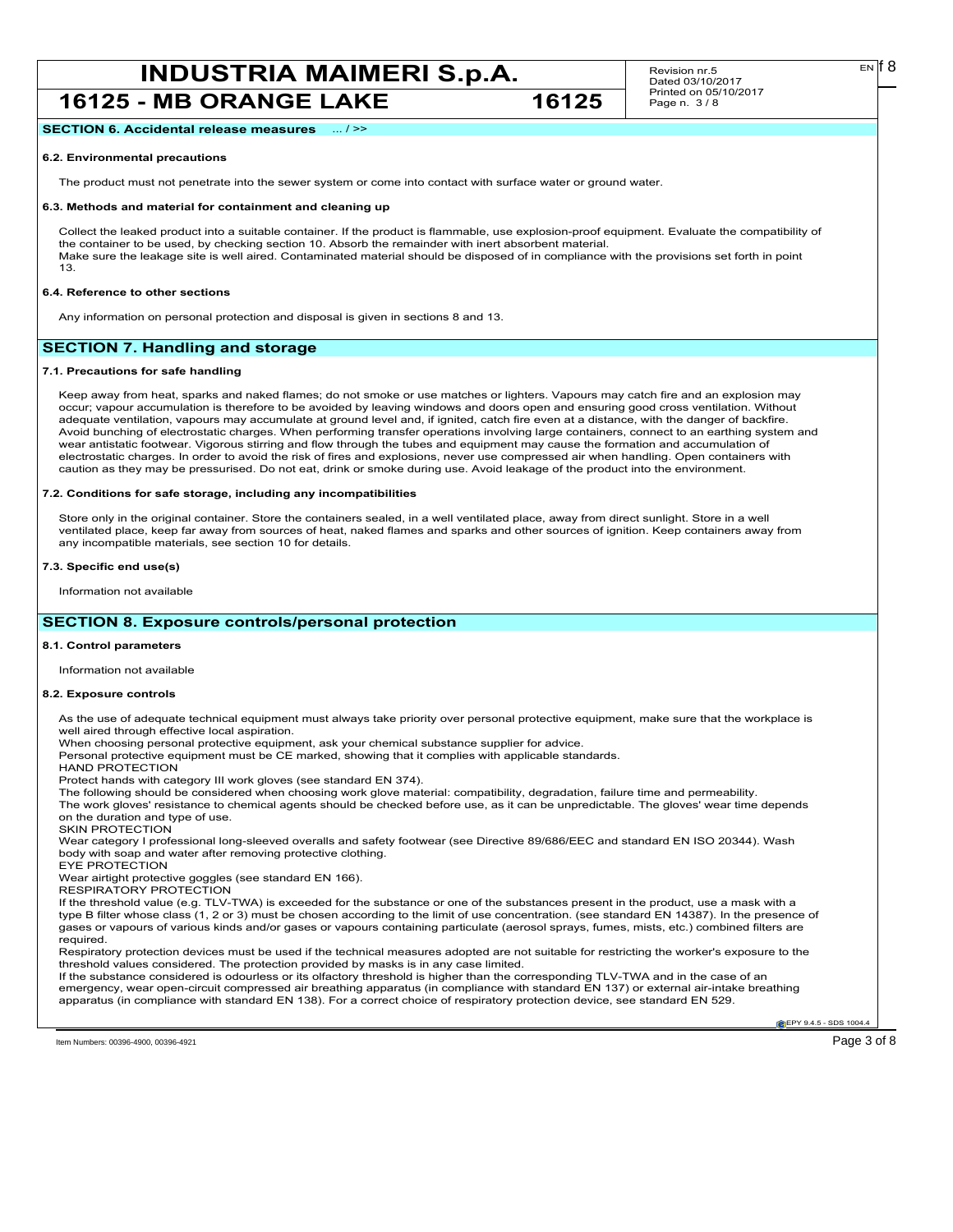## **INDUSTRIA MAIMERI S.p.A.** Revision nr.5 **EN I** EN **I** 8

**16125 - MB ORANGE LAKE 16125**

Revision nr.5 Dated 03/10/2017 Printed on 05/10/2017 Page n. 3 / 8

**SECTION 6. Accidental release measures** ... / >>

#### **6.2. Environmental precautions**

The product must not penetrate into the sewer system or come into contact with surface water or ground water.

#### **6.3. Methods and material for containment and cleaning up**

Collect the leaked product into a suitable container. If the product is flammable, use explosion-proof equipment. Evaluate the compatibility of the container to be used, by checking section 10. Absorb the remainder with inert absorbent material. Make sure the leakage site is well aired. Contaminated material should be disposed of in compliance with the provisions set forth in point 13.

#### **6.4. Reference to other sections**

Any information on personal protection and disposal is given in sections 8 and 13.

#### **SECTION 7. Handling and storage**

#### **7.1. Precautions for safe handling**

Keep away from heat, sparks and naked flames; do not smoke or use matches or lighters. Vapours may catch fire and an explosion may occur; vapour accumulation is therefore to be avoided by leaving windows and doors open and ensuring good cross ventilation. Without adequate ventilation, vapours may accumulate at ground level and, if ignited, catch fire even at a distance, with the danger of backfire. Avoid bunching of electrostatic charges. When performing transfer operations involving large containers, connect to an earthing system and wear antistatic footwear. Vigorous stirring and flow through the tubes and equipment may cause the formation and accumulation of electrostatic charges. In order to avoid the risk of fires and explosions, never use compressed air when handling. Open containers with caution as they may be pressurised. Do not eat, drink or smoke during use. Avoid leakage of the product into the environment.

#### **7.2. Conditions for safe storage, including any incompatibilities**

Store only in the original container. Store the containers sealed, in a well ventilated place, away from direct sunlight. Store in a well ventilated place, keep far away from sources of heat, naked flames and sparks and other sources of ignition. Keep containers away from any incompatible materials, see section 10 for details.

#### **7.3. Specific end use(s)**

Information not available

#### **SECTION 8. Exposure controls/personal protection**

#### **8.1. Control parameters**

Information not available

#### **8.2. Exposure controls**

As the use of adequate technical equipment must always take priority over personal protective equipment, make sure that the workplace is well aired through effective local aspiration.

When choosing personal protective equipment, ask your chemical substance supplier for advice.

Personal protective equipment must be CE marked, showing that it complies with applicable standards.

HAND PROTECTION

Protect hands with category III work gloves (see standard EN 374).

The following should be considered when choosing work glove material: compatibility, degradation, failure time and permeability.

The work gloves' resistance to chemical agents should be checked before use, as it can be unpredictable. The gloves' wear time depends on the duration and type of use.

SKIN PROTECTION

Wear category I professional long-sleeved overalls and safety footwear (see Directive 89/686/EEC and standard EN ISO 20344). Wash body with soap and water after removing protective clothing. EYE PROTECTION

Wear airtight protective goggles (see standard EN 166).

RESPIRATORY PROTECTION

If the threshold value (e.g. TLV-TWA) is exceeded for the substance or one of the substances present in the product, use a mask with a type B filter whose class (1, 2 or 3) must be chosen according to the limit of use concentration. (see standard EN 14387). In the presence of gases or vapours of various kinds and/or gases or vapours containing particulate (aerosol sprays, fumes, mists, etc.) combined filters are required.

Respiratory protection devices must be used if the technical measures adopted are not suitable for restricting the worker's exposure to the threshold values considered. The protection provided by masks is in any case limited.

If the substance considered is odourless or its olfactory threshold is higher than the corresponding TLV-TWA and in the case of an emergency, wear open-circuit compressed air breathing apparatus (in compliance with standard EN 137) or external air-intake breathing apparatus (in compliance with standard EN 138). For a correct choice of respiratory protection device, see standard EN 529.

**EPY 9.4.5 - SDS 1004** 

Item Numbers: 00396-4900, 00396-4921 Page 3 of 8

 $E<sub>N</sub>$  18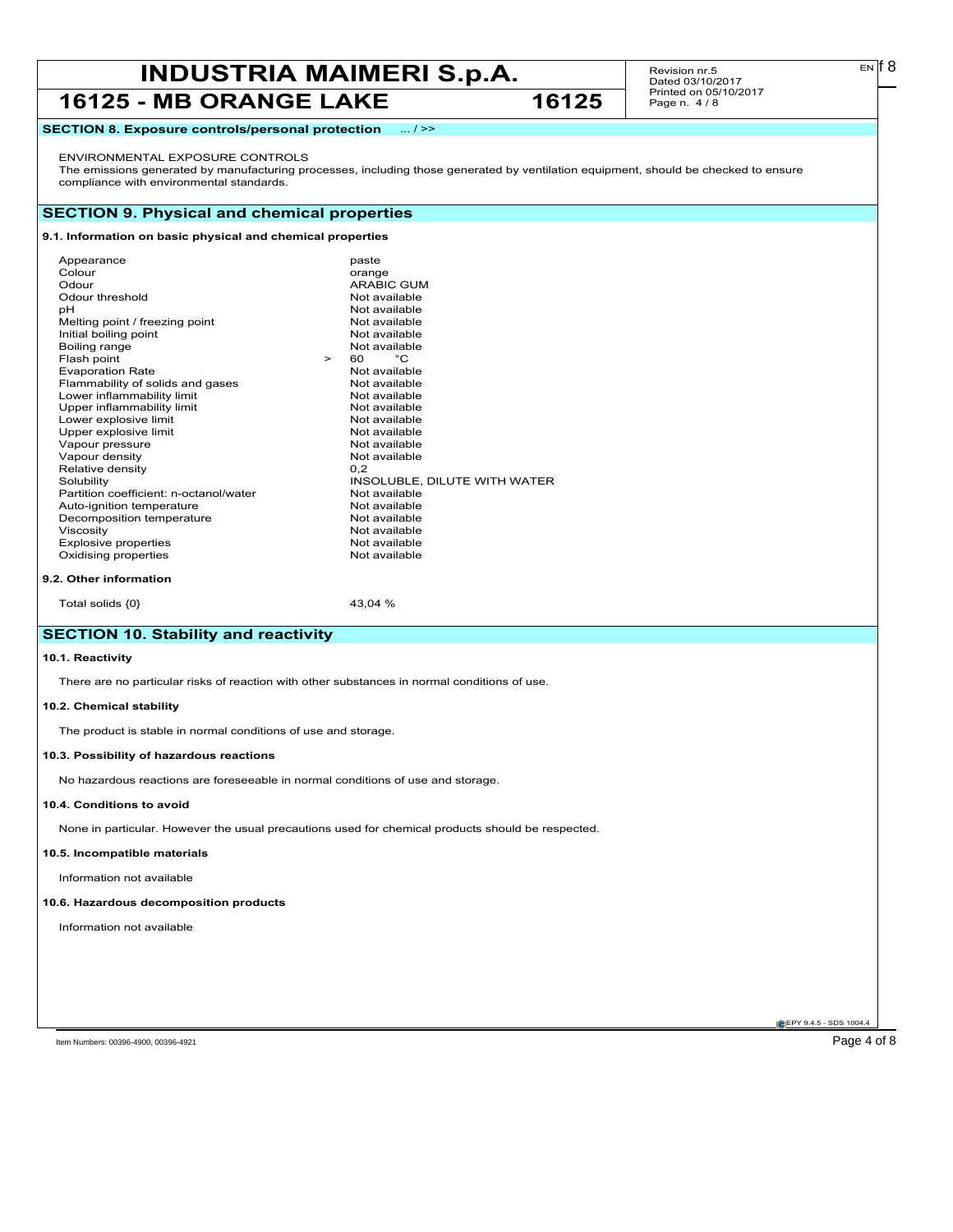## **INDUSTRIA MAIMERI S.p.A.** Revision nr.5 **EN EN I B**<br>Dated 03/10/2017

### 16125 - MB ORANGE LAKE 16125

Revision nr.5 Dated 03/10/2017 Printed on 05/10/2017 Page n. 4 / 8

#### **SECTION 8. Exposure controls/personal protection** ... / >>

#### ENVIRONMENTAL EXPOSURE CONTROLS

The emissions generated by manufacturing processes, including those generated by ventilation equipment, should be checked to ensure compliance with environmental standards.

#### **SECTION 9. Physical and chemical properties**

#### **9.1. Information on basic physical and chemical properties**

| Appearance<br>Colour<br>Odour<br>Odour threshold<br>рH<br>Melting point / freezing point<br>Initial boiling point<br>Boiling range<br>Flash point<br><b>Evaporation Rate</b><br>Flammability of solids and gases<br>Lower inflammability limit<br>Upper inflammability limit<br>Lower explosive limit<br>Upper explosive limit | $\geq$ | paste<br>orange<br><b>ARABIC GUM</b><br>Not available<br>Not available<br>Not available<br>Not available<br>Not available<br>60 —<br>°C<br>Not available<br>Not available<br>Not available<br>Not available<br>Not available<br>Not available |
|--------------------------------------------------------------------------------------------------------------------------------------------------------------------------------------------------------------------------------------------------------------------------------------------------------------------------------|--------|-----------------------------------------------------------------------------------------------------------------------------------------------------------------------------------------------------------------------------------------------|
| Vapour density<br>Relative density                                                                                                                                                                                                                                                                                             |        | Not available<br>0.2                                                                                                                                                                                                                          |
| Solubility                                                                                                                                                                                                                                                                                                                     |        | INSOLUBLE, DILUTE WITH WATER                                                                                                                                                                                                                  |
| Partition coefficient: n-octanol/water                                                                                                                                                                                                                                                                                         |        | Not available                                                                                                                                                                                                                                 |
| Auto-ignition temperature                                                                                                                                                                                                                                                                                                      |        | Not available                                                                                                                                                                                                                                 |
| Decomposition temperature                                                                                                                                                                                                                                                                                                      |        | Not available                                                                                                                                                                                                                                 |
| Viscosity                                                                                                                                                                                                                                                                                                                      |        | Not available                                                                                                                                                                                                                                 |
| <b>Explosive properties</b>                                                                                                                                                                                                                                                                                                    |        | Not available                                                                                                                                                                                                                                 |
| Oxidising properties                                                                                                                                                                                                                                                                                                           |        | Not available                                                                                                                                                                                                                                 |
| 9.2. Other information                                                                                                                                                                                                                                                                                                         |        |                                                                                                                                                                                                                                               |

Total solids  $\{0\}$  43,04 %

### **SECTION 10. Stability and reactivity**

#### **10.1. Reactivity**

There are no particular risks of reaction with other substances in normal conditions of use.

#### **10.2. Chemical stability**

The product is stable in normal conditions of use and storage.

#### **10.3. Possibility of hazardous reactions**

No hazardous reactions are foreseeable in normal conditions of use and storage.

#### **10.4. Conditions to avoid**

None in particular. However the usual precautions used for chemical products should be respected.

#### **10.5. Incompatible materials**

Information not available

#### **10.6. Hazardous decomposition products**

Information not available

**EPY 9.4.5 - SDS 1004**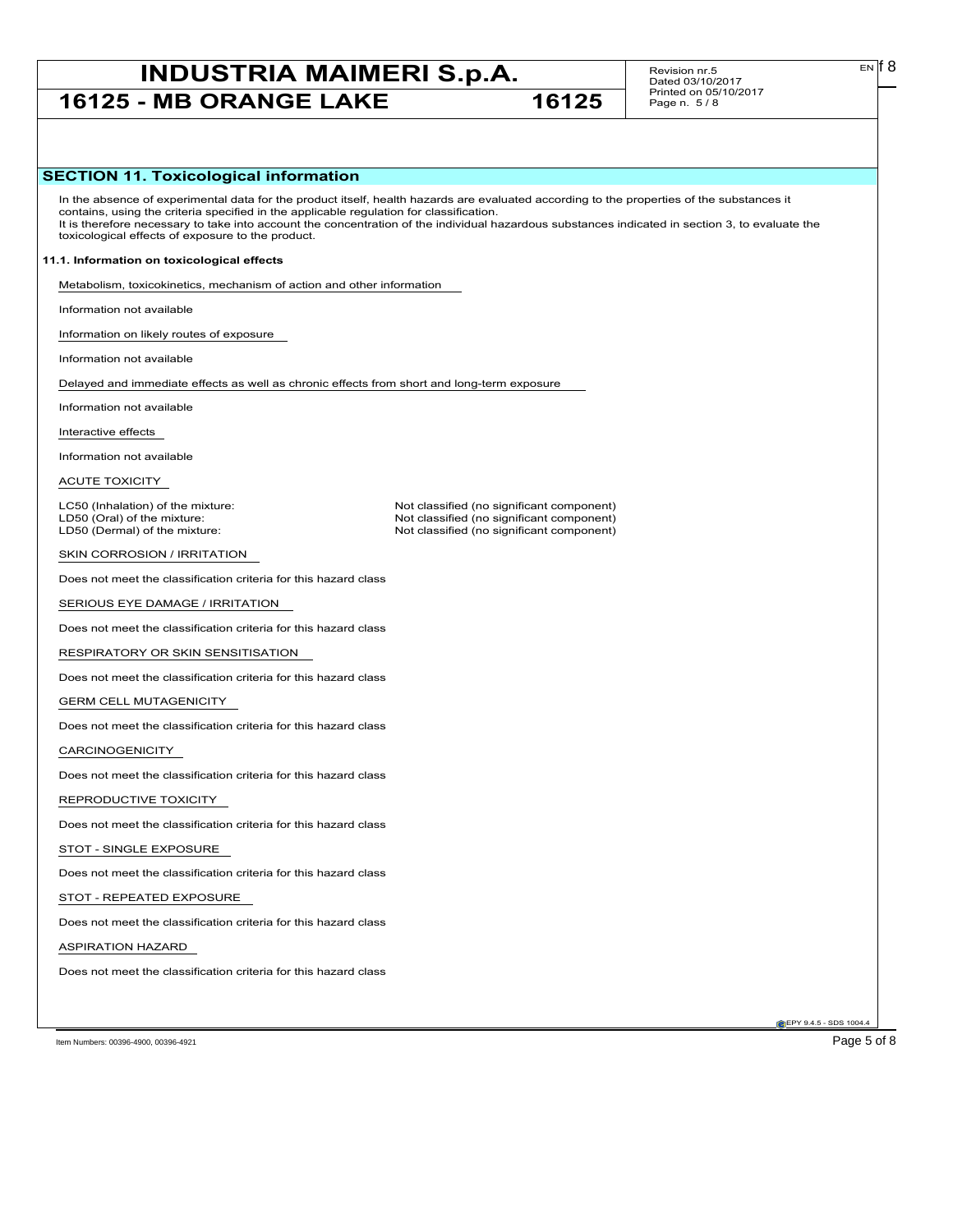## **INDUSTRIA MAIMERI S.p.A.** Revision nr.5 **EN EN I B**<br>Dated 03/10/2017 **16125 - MB ORANGE LAKE 16125**

Revision nr.5 Dated 03/10/2017 Printed on 05/10/2017 Page n. 5 / 8

#### **SECTION 11. Toxicological information**

In the absence of experimental data for the product itself, health hazards are evaluated according to the properties of the substances it contains, using the criteria specified in the applicable regulation for classification. It is therefore necessary to take into account the concentration of the individual hazardous substances indicated in section 3, to evaluate the toxicological effects of exposure to the product.

Not classified (no significant component)

#### **11.1. Information on toxicological effects**

Metabolism, toxicokinetics, mechanism of action and other information

Information not available

Information on likely routes of exposure

Information not available

Delayed and immediate effects as well as chronic effects from short and long-term exposure

Information not available

Interactive effects

Information not available

ACUTE TOXICITY

LC50 (Inhalation) of the mixture: Not classified (no significant component)<br>
LD50 (Oral) of the mixture: Not classified (no significant component) LD50 (Oral) of the mixture:  $\Box$ <br>
LD50 (Dermal) of the mixture: Not classified (no significant component)

SKIN CORROSION / IRRITATION

Does not meet the classification criteria for this hazard class

SERIOUS EYE DAMAGE / IRRITATION

Does not meet the classification criteria for this hazard class

RESPIRATORY OR SKIN SENSITISATION

Does not meet the classification criteria for this hazard class

GERM CELL MUTAGENICITY

Does not meet the classification criteria for this hazard class

CARCINOGENICITY

Does not meet the classification criteria for this hazard class

REPRODUCTIVE TOXICITY

Does not meet the classification criteria for this hazard class

STOT - SINGLE EXPOSURE

Does not meet the classification criteria for this hazard class

STOT - REPEATED EXPOSURE

Does not meet the classification criteria for this hazard class

ASPIRATION HAZARD

Does not meet the classification criteria for this hazard class

Item Numbers: 00396-4900, 00396-4921 Page 5 of 8

**EPY 9.4.5 - SDS 1004.** 

EN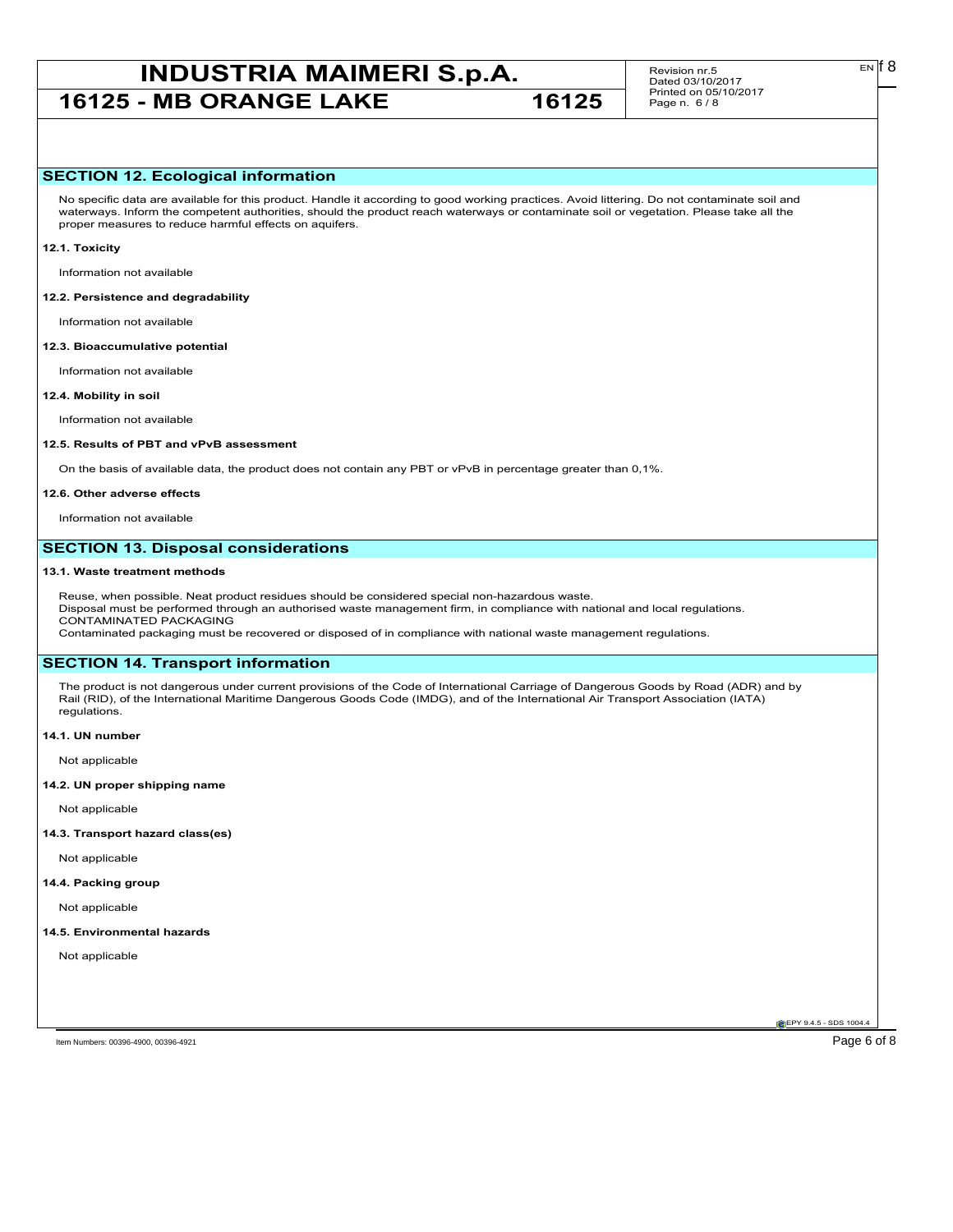# **INDUSTRIA MAIMERI S.p.A.** Revision nr.5 **EN EN I B**<br>Dated 03/10/2017

**16125 - MB ORANGE LAKE 16125** 

Revision nr.5 Dated 03/10/2017 Printed on 05/10/2017 Page n. 6 / 8

#### **SECTION 12. Ecological information**

No specific data are available for this product. Handle it according to good working practices. Avoid littering. Do not contaminate soil and waterways. Inform the competent authorities, should the product reach waterways or contaminate soil or vegetation. Please take all the proper measures to reduce harmful effects on aquifers.

#### **12.1. Toxicity**

Information not available

#### **12.2. Persistence and degradability**

Information not available

#### **12.3. Bioaccumulative potential**

Information not available

#### **12.4. Mobility in soil**

Information not available

#### **12.5. Results of PBT and vPvB assessment**

On the basis of available data, the product does not contain any PBT or vPvB in percentage greater than 0,1%.

#### **12.6. Other adverse effects**

Information not available

#### **SECTION 13. Disposal considerations**

#### **13.1. Waste treatment methods**

Reuse, when possible. Neat product residues should be considered special non-hazardous waste. Disposal must be performed through an authorised waste management firm, in compliance with national and local regulations. CONTAMINATED PACKAGING Contaminated packaging must be recovered or disposed of in compliance with national waste management regulations.

#### **SECTION 14. Transport information**

The product is not dangerous under current provisions of the Code of International Carriage of Dangerous Goods by Road (ADR) and by Rail (RID), of the International Maritime Dangerous Goods Code (IMDG), and of the International Air Transport Association (IATA) regulations.

**14.1. UN number**

Not applicable

#### **14.2. UN proper shipping name**

Not applicable

#### **14.3. Transport hazard class(es)**

Not applicable

#### **14.4. Packing group**

Not applicable

#### **14.5. Environmental hazards**

Not applicable

**EPY 9.4.5 - SDS 1004.** 

Item Numbers: 00396-4900, 00396-4921 Page 6 of 8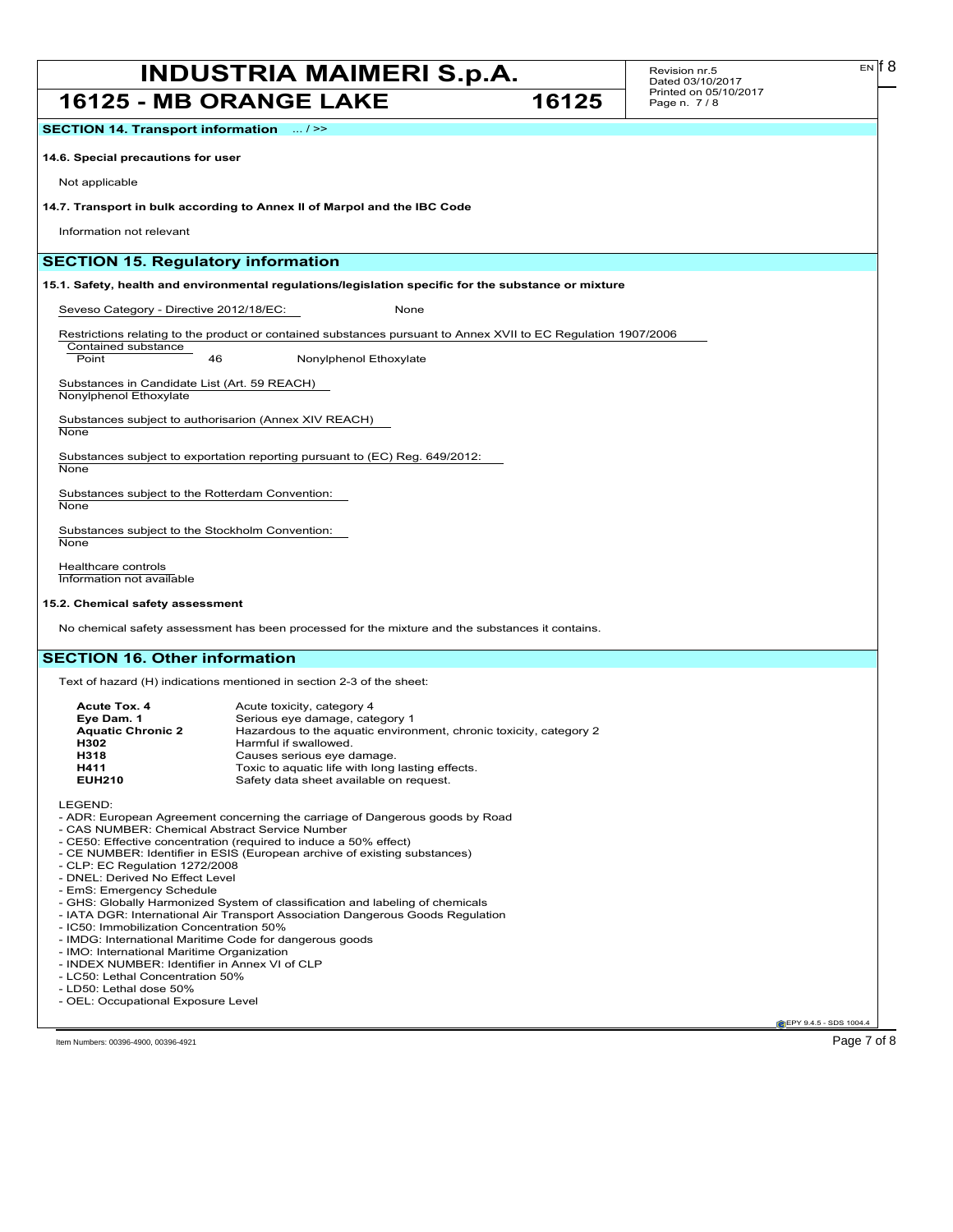### **INDUSTRIA MAIMERI S.p.A.** Revision nr.5 **EN EN I B**<br>Dated 03/10/2017 **16125 - MB ORANGE LAKE 16125**

Revision nr.5 Dated 03/10/2017 Printed on 05/10/2017 Page n. 7 / 8

**SECTION 14. Transport information** ... / >>

**14.6. Special precautions for user**

Not applicable

**14.7. Transport in bulk according to Annex II of Marpol and the IBC Code**

Information not relevant

Contained substance

#### **SECTION 15. Regulatory information**

**15.1. Safety, health and environmental regulations/legislation specific for the substance or mixture**

Seveso Category - Directive 2012/18/EC: None

Restrictions relating to the product or contained substances pursuant to Annex XVII to EC Regulation 1907/2006

Point 46 Nonylphenol Ethoxylate

Substances in Candidate List (Art. 59 REACH) Nonylphenol Ethoxylate

Substances subject to authorisarion (Annex XIV REACH)

**None** 

Substances subject to exportation reporting pursuant to (EC) Reg. 649/2012:

**None** 

Substances subject to the Rotterdam Convention: **None** 

Substances subject to the Stockholm Convention: **None** 

Healthcare controls Information not available

#### **15.2. Chemical safety assessment**

No chemical safety assessment has been processed for the mixture and the substances it contains.

#### **SECTION 16. Other information**

Text of hazard (H) indications mentioned in section 2-3 of the sheet:

| Acute Tox. 4             | Acute toxicity, category 4                                         |
|--------------------------|--------------------------------------------------------------------|
| Eve Dam. 1               | Serious eye damage, category 1                                     |
| <b>Aquatic Chronic 2</b> | Hazardous to the aquatic environment, chronic toxicity, category 2 |
| H302                     | Harmful if swallowed.                                              |
| H318                     | Causes serious eye damage.                                         |
| H411                     | Toxic to aquatic life with long lasting effects.                   |
| <b>EUH210</b>            | Safety data sheet available on request.                            |
|                          |                                                                    |

LEGEND:

- ADR: European Agreement concerning the carriage of Dangerous goods by Road

- CAS NUMBER: Chemical Abstract Service Number
- CE50: Effective concentration (required to induce a 50% effect)
- CE NUMBER: Identifier in ESIS (European archive of existing substances)
- CLP: EC Regulation 1272/2008
- DNEL: Derived No Effect Level
- EmS: Emergency Schedule
- GHS: Globally Harmonized System of classification and labeling of chemicals
- IATA DGR: International Air Transport Association Dangerous Goods Regulation
- IC50: Immobilization Concentration 50%
- IMDG: International Maritime Code for dangerous goods
- IMO: International Maritime Organization
- INDEX NUMBER: Identifier in Annex VI of CLP
- LC50: Lethal Concentration 50% - LD50: Lethal dose 50%
- OEL: Occupational Exposure Level
- 

**EPY 9.4.5 - SDS 1004** 

 $E<sub>N</sub>$  18